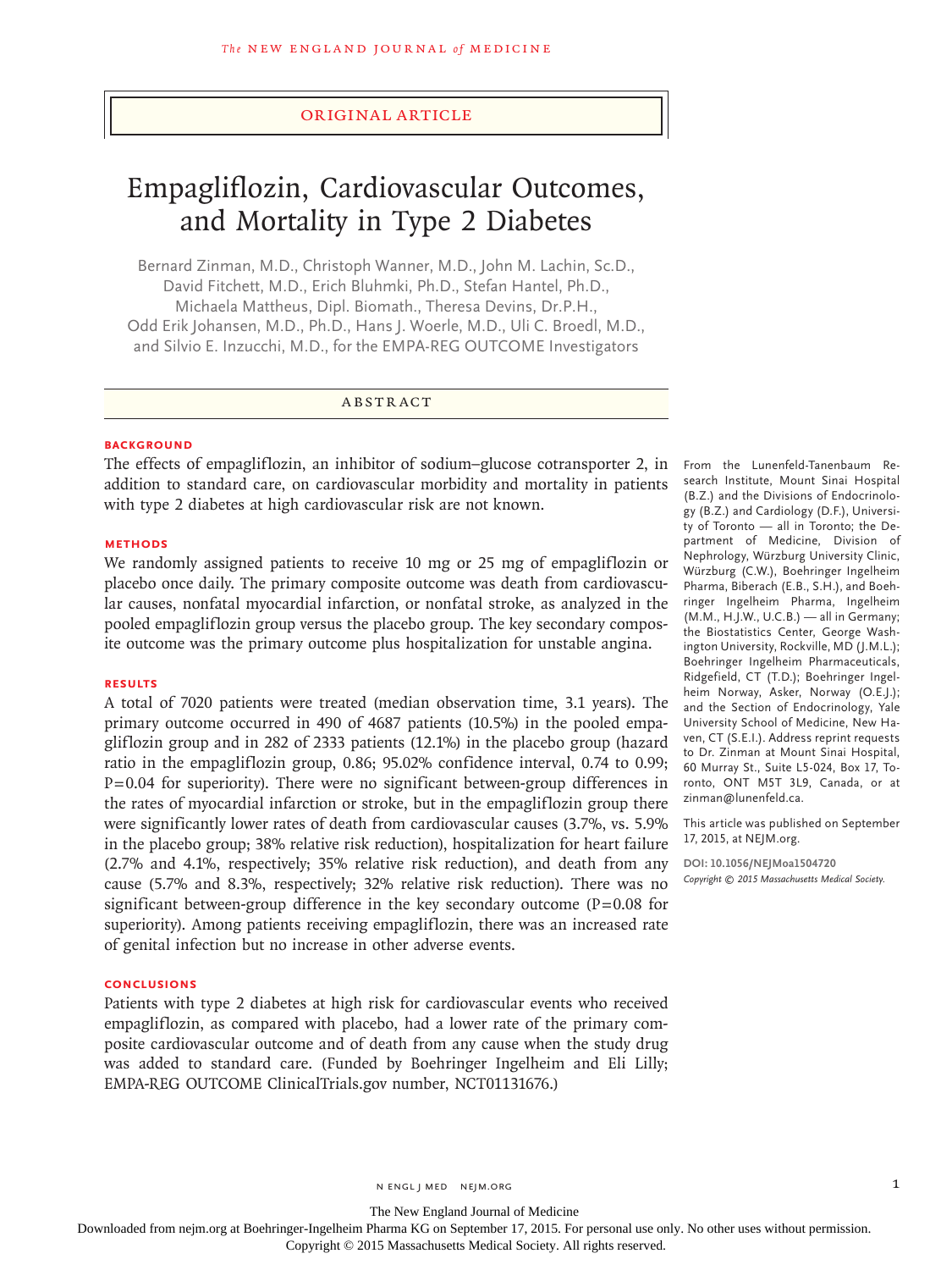## Original Article

# Empagliflozin, Cardiovascular Outcomes, and Mortality in Type 2 Diabetes

Bernard Zinman, M.D., Christoph Wanner, M.D., John M. Lachin, Sc.D., David Fitchett, M.D., Erich Bluhmki, Ph.D., Stefan Hantel, Ph.D., Michaela Mattheus, Dipl. Biomath., Theresa Devins, Dr.P.H., Odd Erik Johansen, M.D., Ph.D., Hans J. Woerle, M.D., Uli C. Broedl, M.D., and Silvio E. Inzucchi, M.D., for the EMPA-REG OUTCOME Investigators

# ABSTRACT

## **BACKGROUND**

The effects of empagliflozin, an inhibitor of sodium–glucose cotransporter 2, in addition to standard care, on cardiovascular morbidity and mortality in patients with type 2 diabetes at high cardiovascular risk are not known.

## **METHODS**

We randomly assigned patients to receive 10 mg or 25 mg of empagliflozin or placebo once daily. The primary composite outcome was death from cardiovascular causes, nonfatal myocardial infarction, or nonfatal stroke, as analyzed in the pooled empagliflozin group versus the placebo group. The key secondary composite outcome was the primary outcome plus hospitalization for unstable angina.

## **RESULTS**

A total of 7020 patients were treated (median observation time, 3.1 years). The primary outcome occurred in 490 of 4687 patients (10.5%) in the pooled empagliflozin group and in 282 of 2333 patients (12.1%) in the placebo group (hazard ratio in the empagliflozin group, 0.86; 95.02% confidence interval, 0.74 to 0.99; P=0.04 for superiority). There were no significant between-group differences in the rates of myocardial infarction or stroke, but in the empagliflozin group there were significantly lower rates of death from cardiovascular causes (3.7%, vs. 5.9% in the placebo group; 38% relative risk reduction), hospitalization for heart failure (2.7% and 4.1%, respectively; 35% relative risk reduction), and death from any cause (5.7% and 8.3%, respectively; 32% relative risk reduction). There was no significant between-group difference in the key secondary outcome  $(P=0.08$  for superiority). Among patients receiving empagliflozin, there was an increased rate of genital infection but no increase in other adverse events.

#### **CONCLUSIONS**

Patients with type 2 diabetes at high risk for cardiovascular events who received empagliflozin, as compared with placebo, had a lower rate of the primary composite cardiovascular outcome and of death from any cause when the study drug was added to standard care. (Funded by Boehringer Ingelheim and Eli Lilly; EMPA-REG OUTCOME ClinicalTrials.gov number, NCT01131676.)

From the Lunenfeld-Tanenbaum Research Institute, Mount Sinai Hospital (B.Z.) and the Divisions of Endocrinology (B.Z.) and Cardiology (D.F.), University of Toronto — all in Toronto; the Department of Medicine, Division of Nephrology, Würzburg University Clinic, Würzburg (C.W.), Boehringer Ingelheim Pharma, Biberach (E.B., S.H.), and Boehringer Ingelheim Pharma, Ingelheim (M.M., H.J.W., U.C.B.) — all in Germany; the Biostatistics Center, George Washington University, Rockville, MD (J.M.L.); Boehringer Ingelheim Pharmaceuticals, Ridgefield, CT (T.D.); Boehringer Ingelheim Norway, Asker, Norway (O.E.J.); and the Section of Endocrinology, Yale University School of Medicine, New Haven, CT (S.E.I.). Address reprint requests to Dr. Zinman at Mount Sinai Hospital, 60 Murray St., Suite L5-024, Box 17, Toronto, ONT M5T 3L9, Canada, or at zinman@lunenfeld.ca.

This article was published on September 17, 2015, at NEJM.org.

**DOI: 10.1056/NEJMoa1504720** *Copyright © 2015 Massachusetts Medical Society.*

The New England Journal of Medicine

Downloaded from nejm.org at Boehringer-Ingelheim Pharma KG on September 17, 2015. For personal use only. No other uses without permission.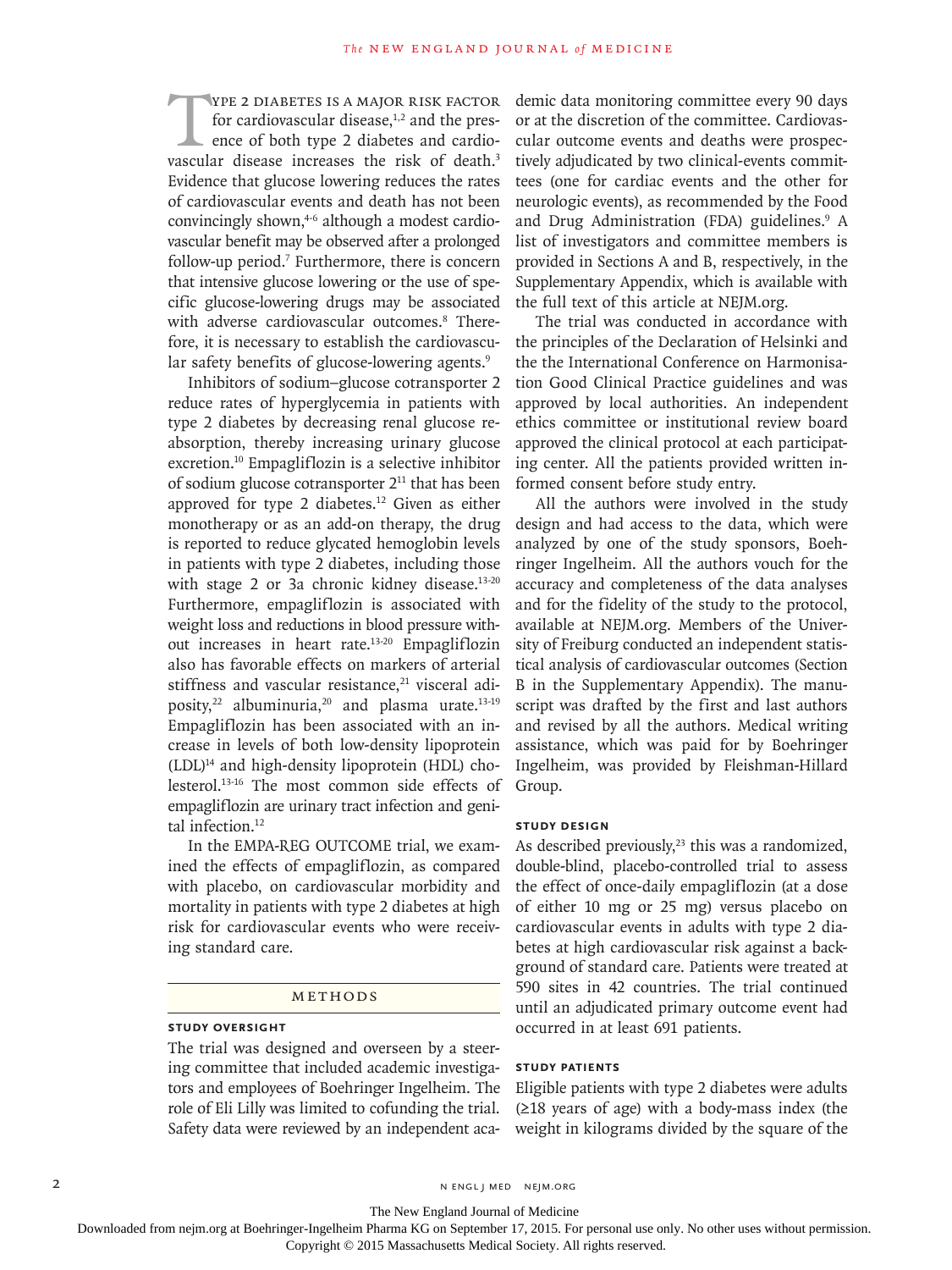**THE 2 DIABETES IS A MAJOR RISK FACTOR**<br>for cardiovascular disease,<sup>1,2</sup> and the presence of both type 2 diabetes and cardio-<br>vascular disease increases the risk of death.<sup>3</sup> for cardiovascular disease, $1,2$  and the presence of both type 2 diabetes and cardiovascular disease increases the risk of death.<sup>3</sup> Evidence that glucose lowering reduces the rates of cardiovascular events and death has not been convincingly shown,<sup>4-6</sup> although a modest cardiovascular benefit may be observed after a prolonged follow-up period.<sup>7</sup> Furthermore, there is concern that intensive glucose lowering or the use of specific glucose-lowering drugs may be associated with adverse cardiovascular outcomes.8 Therefore, it is necessary to establish the cardiovascular safety benefits of glucose-lowering agents.<sup>9</sup>

Inhibitors of sodium–glucose cotransporter 2 reduce rates of hyperglycemia in patients with type 2 diabetes by decreasing renal glucose reabsorption, thereby increasing urinary glucose excretion.10 Empagliflozin is a selective inhibitor of sodium glucose cotransporter 211 that has been approved for type 2 diabetes.<sup>12</sup> Given as either monotherapy or as an add-on therapy, the drug is reported to reduce glycated hemoglobin levels in patients with type 2 diabetes, including those with stage 2 or 3a chronic kidney disease.<sup>13-20</sup> Furthermore, empagliflozin is associated with weight loss and reductions in blood pressure without increases in heart rate.13-20 Empagliflozin also has favorable effects on markers of arterial stiffness and vascular resistance,<sup>21</sup> visceral adiposity,<sup>22</sup> albuminuria,<sup>20</sup> and plasma urate.<sup>13-19</sup> Empagliflozin has been associated with an increase in levels of both low-density lipoprotein  $(LDL)^{14}$  and high-density lipoprotein (HDL) cholesterol.13-16 The most common side effects of empagliflozin are urinary tract infection and genital infection.<sup>12</sup>

In the EMPA-REG OUTCOME trial, we examined the effects of empagliflozin, as compared with placebo, on cardiovascular morbidity and mortality in patients with type 2 diabetes at high risk for cardiovascular events who were receiving standard care.

#### **METHODS**

#### **Study Oversight**

The trial was designed and overseen by a steering committee that included academic investigators and employees of Boehringer Ingelheim. The role of Eli Lilly was limited to cofunding the trial. Safety data were reviewed by an independent academic data monitoring committee every 90 days or at the discretion of the committee. Cardiovascular outcome events and deaths were prospectively adjudicated by two clinical-events committees (one for cardiac events and the other for neurologic events), as recommended by the Food and Drug Administration (FDA) guidelines.<sup>9</sup> A list of investigators and committee members is provided in Sections A and B, respectively, in the Supplementary Appendix, which is available with the full text of this article at NEJM.org.

The trial was conducted in accordance with the principles of the Declaration of Helsinki and the the International Conference on Harmonisation Good Clinical Practice guidelines and was approved by local authorities. An independent ethics committee or institutional review board approved the clinical protocol at each participating center. All the patients provided written informed consent before study entry.

All the authors were involved in the study design and had access to the data, which were analyzed by one of the study sponsors, Boehringer Ingelheim. All the authors vouch for the accuracy and completeness of the data analyses and for the fidelity of the study to the protocol, available at NEJM.org. Members of the University of Freiburg conducted an independent statistical analysis of cardiovascular outcomes (Section B in the Supplementary Appendix). The manuscript was drafted by the first and last authors and revised by all the authors. Medical writing assistance, which was paid for by Boehringer Ingelheim, was provided by Fleishman-Hillard Group.

# **Study Design**

As described previously,<sup>23</sup> this was a randomized, double-blind, placebo-controlled trial to assess the effect of once-daily empagliflozin (at a dose of either 10 mg or 25 mg) versus placebo on cardiovascular events in adults with type 2 diabetes at high cardiovascular risk against a background of standard care. Patients were treated at 590 sites in 42 countries. The trial continued until an adjudicated primary outcome event had occurred in at least 691 patients.

# **Study Patients**

Eligible patients with type 2 diabetes were adults  $(\geq 18$  years of age) with a body-mass index (the weight in kilograms divided by the square of the

2 N ENGL J MED NEJM.ORG

The New England Journal of Medicine

Downloaded from nejm.org at Boehringer-Ingelheim Pharma KG on September 17, 2015. For personal use only. No other uses without permission.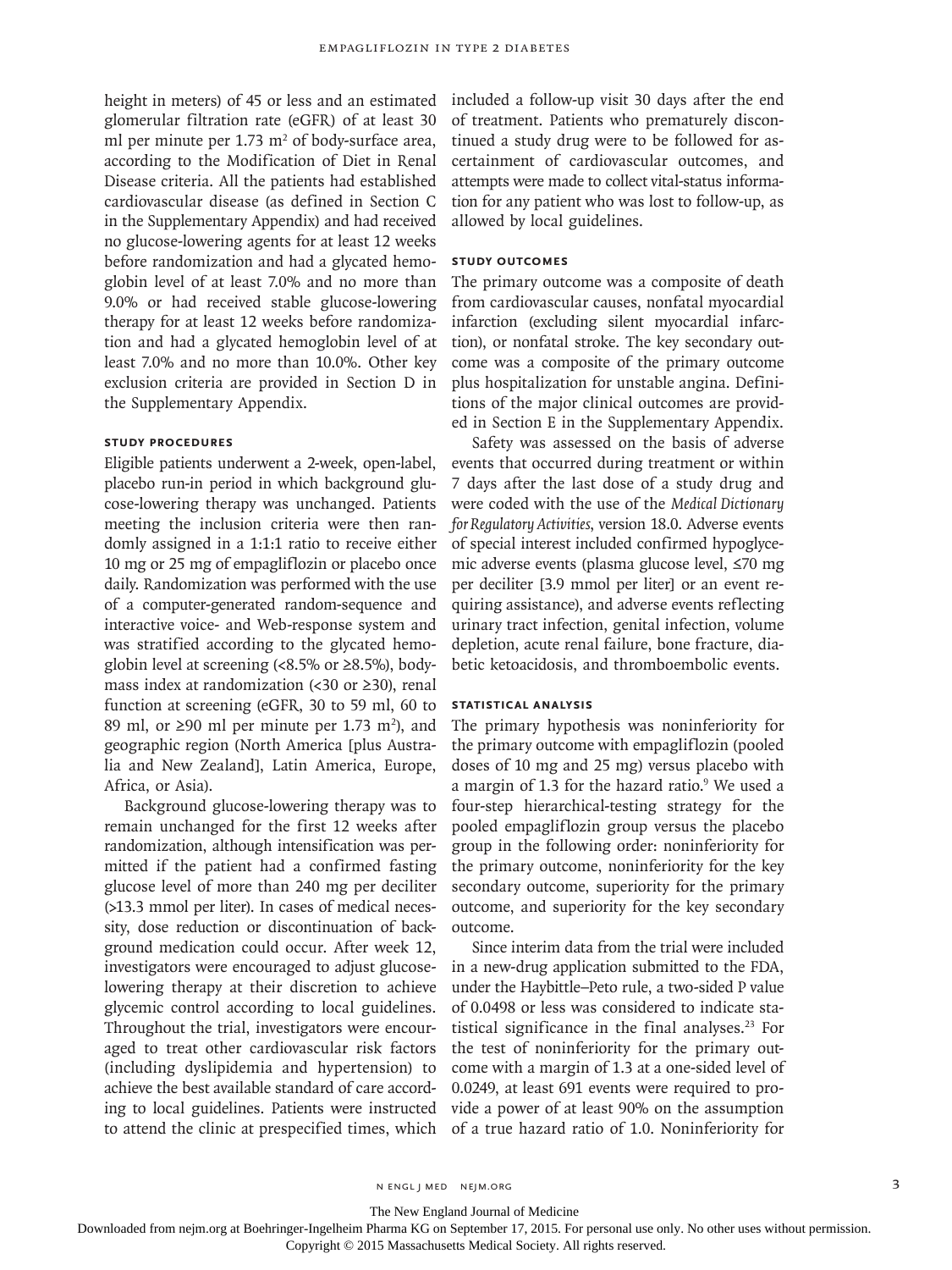height in meters) of 45 or less and an estimated glomerular filtration rate (eGFR) of at least 30 ml per minute per  $1.73 \text{ m}^2$  of body-surface area, according to the Modification of Diet in Renal Disease criteria. All the patients had established cardiovascular disease (as defined in Section C in the Supplementary Appendix) and had received no glucose-lowering agents for at least 12 weeks before randomization and had a glycated hemoglobin level of at least 7.0% and no more than 9.0% or had received stable glucose-lowering therapy for at least 12 weeks before randomization and had a glycated hemoglobin level of at least 7.0% and no more than 10.0%. Other key exclusion criteria are provided in Section D in the Supplementary Appendix.

# **Study Procedures**

Eligible patients underwent a 2-week, open-label, placebo run-in period in which background glucose-lowering therapy was unchanged. Patients meeting the inclusion criteria were then randomly assigned in a 1:1:1 ratio to receive either 10 mg or 25 mg of empagliflozin or placebo once daily. Randomization was performed with the use of a computer-generated random-sequence and interactive voice- and Web-response system and was stratified according to the glycated hemoglobin level at screening (<8.5% or ≥8.5%), bodymass index at randomization (<30 or ≥30), renal function at screening (eGFR, 30 to 59 ml, 60 to 89 ml, or ≥90 ml per minute per 1.73 m<sup>2</sup>), and geographic region (North America [plus Australia and New Zealand], Latin America, Europe, Africa, or Asia).

Background glucose-lowering therapy was to remain unchanged for the first 12 weeks after randomization, although intensification was permitted if the patient had a confirmed fasting glucose level of more than 240 mg per deciliter (>13.3 mmol per liter). In cases of medical necessity, dose reduction or discontinuation of background medication could occur. After week 12, investigators were encouraged to adjust glucoselowering therapy at their discretion to achieve glycemic control according to local guidelines. Throughout the trial, investigators were encouraged to treat other cardiovascular risk factors (including dyslipidemia and hypertension) to achieve the best available standard of care according to local guidelines. Patients were instructed to attend the clinic at prespecified times, which

included a follow-up visit 30 days after the end of treatment. Patients who prematurely discontinued a study drug were to be followed for ascertainment of cardiovascular outcomes, and attempts were made to collect vital-status information for any patient who was lost to follow-up, as allowed by local guidelines.

# **Study Outcomes**

The primary outcome was a composite of death from cardiovascular causes, nonfatal myocardial infarction (excluding silent myocardial infarction), or nonfatal stroke. The key secondary outcome was a composite of the primary outcome plus hospitalization for unstable angina. Definitions of the major clinical outcomes are provided in Section E in the Supplementary Appendix.

Safety was assessed on the basis of adverse events that occurred during treatment or within 7 days after the last dose of a study drug and were coded with the use of the *Medical Dictionary for Regulatory Activities*, version 18.0. Adverse events of special interest included confirmed hypoglycemic adverse events (plasma glucose level, ≤70 mg per deciliter [3.9 mmol per liter] or an event requiring assistance), and adverse events reflecting urinary tract infection, genital infection, volume depletion, acute renal failure, bone fracture, diabetic ketoacidosis, and thromboembolic events.

# **Statistical Analysis**

The primary hypothesis was noninferiority for the primary outcome with empagliflozin (pooled doses of 10 mg and 25 mg) versus placebo with a margin of 1.3 for the hazard ratio.<sup>9</sup> We used a four-step hierarchical-testing strategy for the pooled empagliflozin group versus the placebo group in the following order: noninferiority for the primary outcome, noninferiority for the key secondary outcome, superiority for the primary outcome, and superiority for the key secondary outcome.

Since interim data from the trial were included in a new-drug application submitted to the FDA, under the Haybittle–Peto rule, a two-sided P value of 0.0498 or less was considered to indicate statistical significance in the final analyses.<sup>23</sup> For the test of noninferiority for the primary outcome with a margin of 1.3 at a one-sided level of 0.0249, at least 691 events were required to provide a power of at least 90% on the assumption of a true hazard ratio of 1.0. Noninferiority for

The New England Journal of Medicine

Downloaded from nejm.org at Boehringer-Ingelheim Pharma KG on September 17, 2015. For personal use only. No other uses without permission.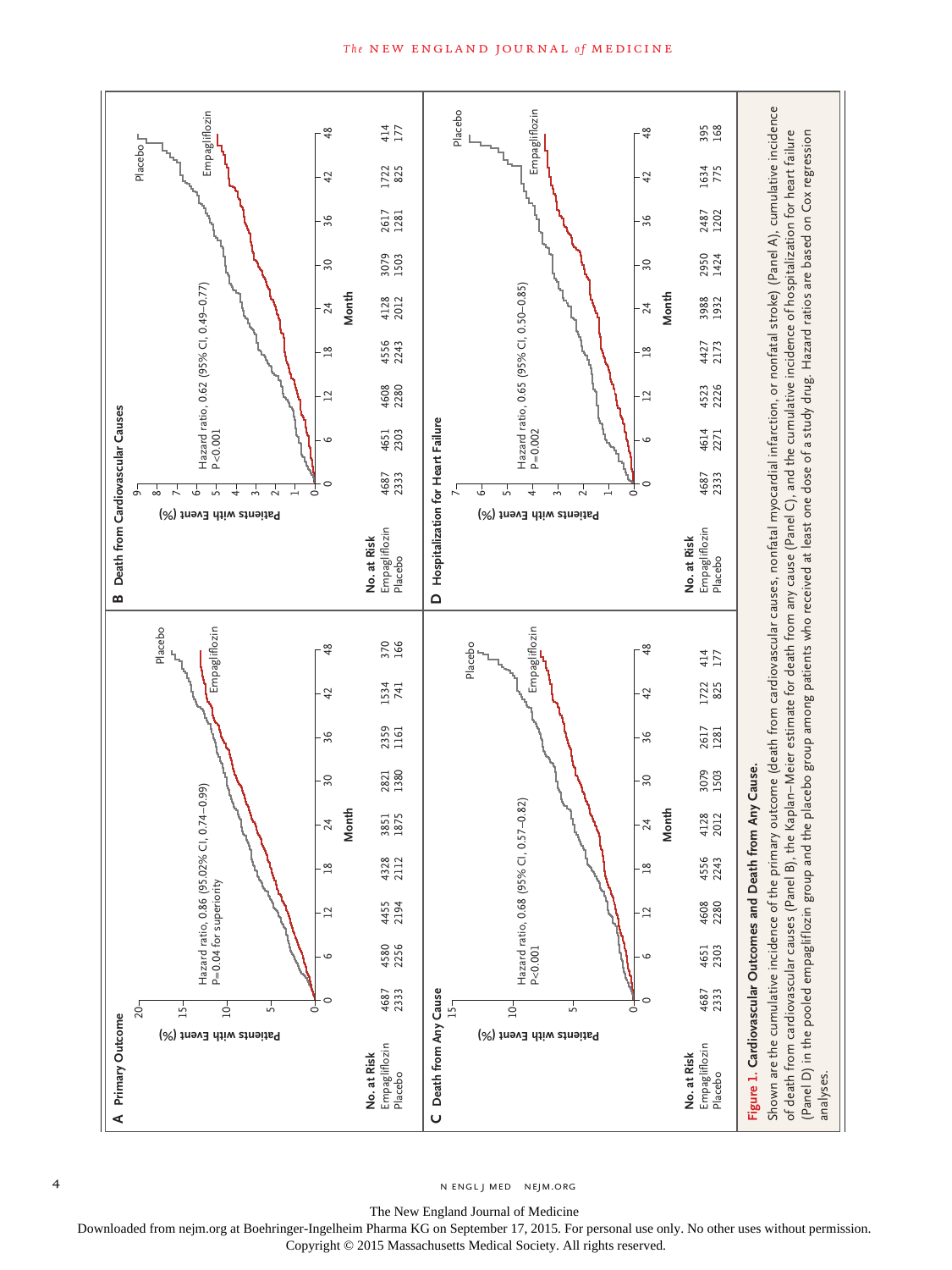



4 n engl j med nejm.org nejm.org neighborhood in the negative media in the negative media in the negative media in the negative media in the negative media in the negative media in the negative media in the negative media

The New England Journal of Medicine

Downloaded from nejm.org at Boehringer-Ingelheim Pharma KG on September 17, 2015. For personal use only. No other uses without permission.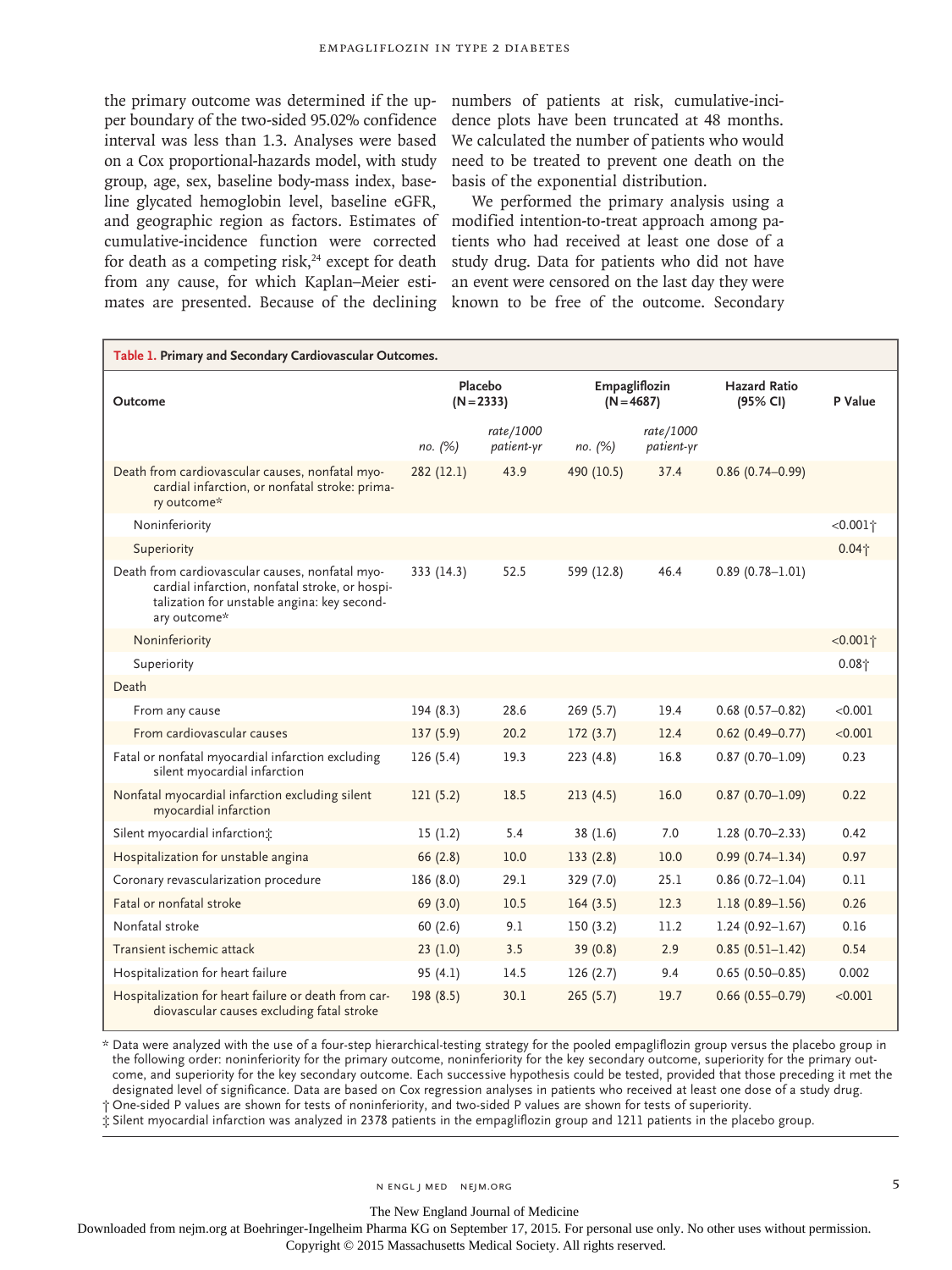the primary outcome was determined if the upper boundary of the two-sided 95.02% confidence interval was less than 1.3. Analyses were based on a Cox proportional-hazards model, with study group, age, sex, baseline body-mass index, baseline glycated hemoglobin level, baseline eGFR, and geographic region as factors. Estimates of cumulative-incidence function were corrected for death as a competing risk, $24$  except for death from any cause, for which Kaplan–Meier estimates are presented. Because of the declining

numbers of patients at risk, cumulative-incidence plots have been truncated at 48 months. We calculated the number of patients who would need to be treated to prevent one death on the basis of the exponential distribution.

We performed the primary analysis using a modified intention-to-treat approach among patients who had received at least one dose of a study drug. Data for patients who did not have an event were censored on the last day they were known to be free of the outcome. Secondary

| Table 1. Primary and Secondary Cardiovascular Outcomes.                                                                                                          |                         |                         |                               |                         |                                 |                       |
|------------------------------------------------------------------------------------------------------------------------------------------------------------------|-------------------------|-------------------------|-------------------------------|-------------------------|---------------------------------|-----------------------|
| Outcome                                                                                                                                                          | Placebo<br>$(N = 2333)$ |                         | Empagliflozin<br>$(N = 4687)$ |                         | <b>Hazard Ratio</b><br>(95% CI) | P Value               |
|                                                                                                                                                                  | no. (%)                 | rate/1000<br>patient-yr | no. (%)                       | rate/1000<br>patient-yr |                                 |                       |
| Death from cardiovascular causes, nonfatal myo-<br>cardial infarction, or nonfatal stroke: prima-<br>ry outcome*                                                 | 282(12.1)               | 43.9                    | 490 (10.5)                    | 37.4                    | $0.86(0.74 - 0.99)$             |                       |
| Noninferiority                                                                                                                                                   |                         |                         |                               |                         |                                 | $<0.001$ <sup>+</sup> |
| Superiority                                                                                                                                                      |                         |                         |                               |                         |                                 | $0.04 +$              |
| Death from cardiovascular causes, nonfatal myo-<br>cardial infarction, nonfatal stroke, or hospi-<br>talization for unstable angina: key second-<br>ary outcome* | 333 (14.3)              | 52.5                    | 599 (12.8)                    | 46.4                    | $0.89(0.78 - 1.01)$             |                       |
| Noninferiority                                                                                                                                                   |                         |                         |                               |                         |                                 | $<0.001$ †            |
| Superiority                                                                                                                                                      |                         |                         |                               |                         |                                 | $0.08 +$              |
| Death                                                                                                                                                            |                         |                         |                               |                         |                                 |                       |
| From any cause                                                                                                                                                   | 194(8.3)                | 28.6                    | 269(5.7)                      | 19.4                    | $0.68$ (0.57-0.82)              | < 0.001               |
| From cardiovascular causes                                                                                                                                       | 137(5.9)                | 20.2                    | 172(3.7)                      | 12.4                    | $0.62$ (0.49-0.77)              | < 0.001               |
| Fatal or nonfatal myocardial infarction excluding<br>silent myocardial infarction                                                                                | 126(5.4)                | 19.3                    | 223(4.8)                      | 16.8                    | $0.87(0.70 - 1.09)$             | 0.23                  |
| Nonfatal myocardial infarction excluding silent<br>myocardial infarction                                                                                         | 121(5.2)                | 18.5                    | 213(4.5)                      | 16.0                    | $0.87(0.70 - 1.09)$             | 0.22                  |
| Silent myocardial infarction <sup>t</sup>                                                                                                                        | 15(1.2)                 | 5.4                     | 38(1.6)                       | 7.0                     | $1.28(0.70 - 2.33)$             | 0.42                  |
| Hospitalization for unstable angina                                                                                                                              | 66(2.8)                 | 10.0                    | 133(2.8)                      | 10.0                    | $0.99(0.74 - 1.34)$             | 0.97                  |
| Coronary revascularization procedure                                                                                                                             | 186 (8.0)               | 29.1                    | 329 (7.0)                     | 25.1                    | $0.86(0.72 - 1.04)$             | 0.11                  |
| Fatal or nonfatal stroke                                                                                                                                         | 69 (3.0)                | 10.5                    | 164(3.5)                      | 12.3                    | $1.18(0.89 - 1.56)$             | 0.26                  |
| Nonfatal stroke                                                                                                                                                  | 60(2.6)                 | 9.1                     | 150(3.2)                      | 11.2                    | $1.24(0.92 - 1.67)$             | 0.16                  |
| Transient ischemic attack                                                                                                                                        | 23(1.0)                 | 3.5                     | 39(0.8)                       | 2.9                     | $0.85(0.51 - 1.42)$             | 0.54                  |
| Hospitalization for heart failure                                                                                                                                | 95(4.1)                 | 14.5                    | 126(2.7)                      | 9.4                     | $0.65(0.50 - 0.85)$             | 0.002                 |
| Hospitalization for heart failure or death from car-<br>diovascular causes excluding fatal stroke                                                                | 198(8.5)                | 30.1                    | 265(5.7)                      | 19.7                    | $0.66$ (0.55-0.79)              | < 0.001               |

\* Data were analyzed with the use of a four-step hierarchical-testing strategy for the pooled empagliflozin group versus the placebo group in the following order: noninferiority for the primary outcome, noninferiority for the key secondary outcome, superiority for the primary outcome, and superiority for the key secondary outcome. Each successive hypothesis could be tested, provided that those preceding it met the designated level of significance. Data are based on Cox regression analyses in patients who received at least one dose of a study drug. † One-sided P values are shown for tests of noninferiority, and two-sided P values are shown for tests of superiority.

‡ Silent myocardial infarction was analyzed in 2378 patients in the empagliflozin group and 1211 patients in the placebo group.

The New England Journal of Medicine

Downloaded from nejm.org at Boehringer-Ingelheim Pharma KG on September 17, 2015. For personal use only. No other uses without permission.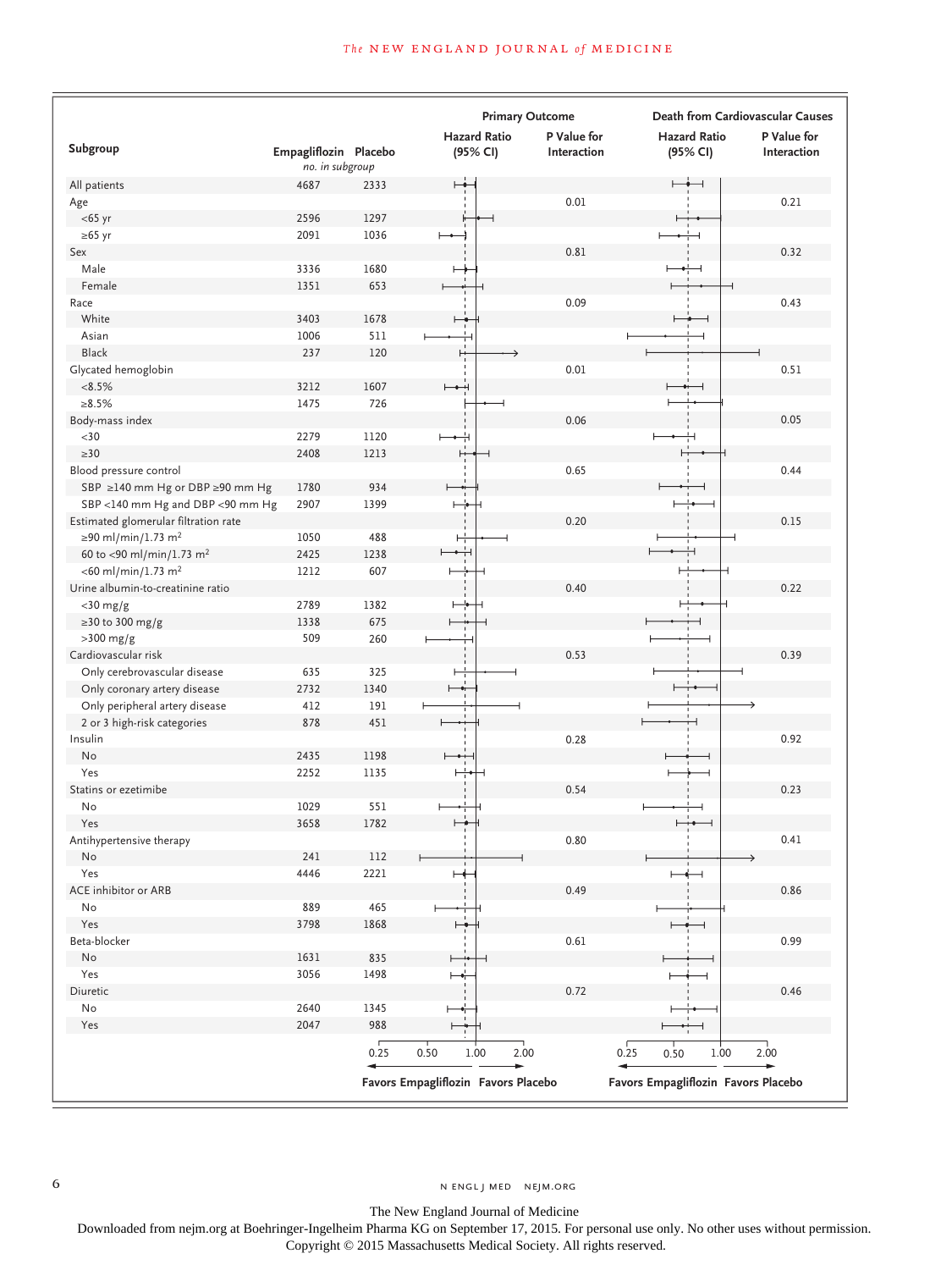# **The NEW ENGLAND JOURNAL of MEDICINE**

|                                                                     |                         |         | <b>Primary Outcome</b>              |             | <b>Death from Cardiovascular Causes</b> |             |
|---------------------------------------------------------------------|-------------------------|---------|-------------------------------------|-------------|-----------------------------------------|-------------|
|                                                                     |                         |         | <b>Hazard Ratio</b>                 | P Value for | <b>Hazard Ratio</b>                     | P Value for |
| Subgroup                                                            | Empagliflozin Placebo   |         | (95% CI)                            | Interaction | (95% CI)                                | Interaction |
| All patients                                                        | no. in subgroup<br>4687 | 2333    | $\overline{\phantom{a}}$            |             | Н                                       |             |
| Age                                                                 |                         |         |                                     | 0.01        |                                         | 0.21        |
| $<$ 65 yr                                                           | 2596                    | 1297    |                                     |             |                                         |             |
| $\geq 65$ yr                                                        | 2091                    | 1036    | $\mapsto$                           |             |                                         |             |
| Sex                                                                 |                         |         |                                     | 0.81        |                                         | 0.32        |
| Male                                                                | 3336                    | 1680    |                                     |             |                                         |             |
| Female                                                              | 1351                    | 653     |                                     |             |                                         |             |
| Race                                                                |                         |         |                                     | 0.09        |                                         | 0.43        |
| White                                                               | 3403                    | 1678    | ⊢                                   |             |                                         |             |
| Asian                                                               | 1006                    | 511     |                                     |             |                                         |             |
| Black                                                               | 237                     | 120     | H                                   |             |                                         |             |
| Glycated hemoglobin                                                 |                         |         |                                     | 0.01        |                                         | 0.51        |
| $<8.5\%$                                                            | 3212                    | 1607    | $\overline{\phantom{0}}$            |             |                                         |             |
| $\ge 8.5\%$                                                         | 1475                    | 726     |                                     |             |                                         |             |
| Body-mass index                                                     |                         |         |                                     | 0.06        |                                         | 0.05        |
| $<$ 30                                                              | 2279                    | 1120    | ╍┿                                  |             |                                         |             |
| $\geq 30$                                                           | 2408                    | 1213    | ⊬                                   |             |                                         |             |
| Blood pressure control                                              |                         |         |                                     | 0.65        |                                         | 0.44        |
|                                                                     | 1780                    | 934     |                                     |             |                                         |             |
| SBP ≥140 mm Hg or DBP ≥90 mm Hg<br>SBP <140 mm Hg and DBP <90 mm Hg | 2907                    | 1399    |                                     |             |                                         |             |
| Estimated glomerular filtration rate                                |                         |         |                                     | 0.20        |                                         | 0.15        |
| ≥90 ml/min/1.73 m <sup>2</sup>                                      | 1050                    | 488     | Н                                   |             |                                         |             |
| 60 to <90 ml/min/1.73 m <sup>2</sup>                                | 2425                    | 1238    | ≁⊹⊦                                 |             |                                         |             |
| <60 ml/min/1.73 m <sup>2</sup>                                      |                         | 607     |                                     |             |                                         |             |
| Urine albumin-to-creatinine ratio                                   | 1212                    |         |                                     | 0.40        |                                         | 0.22        |
|                                                                     |                         | 1382    | н                                   |             | Н                                       |             |
| $<$ 30 mg/g                                                         | 2789                    |         | $\mapsto$                           |             |                                         |             |
| $\geq$ 30 to 300 mg/g                                               | 1338                    | 675     |                                     |             |                                         |             |
| $>300$ mg/g                                                         | 509                     | 260     |                                     | 0.53        |                                         | 0.39        |
| Cardiovascular risk                                                 |                         |         |                                     |             |                                         |             |
| Only cerebrovascular disease                                        | 635                     | 325     | $\overline{\phantom{a}}$            |             |                                         |             |
| Only coronary artery disease                                        | 2732                    | 1340    |                                     |             |                                         |             |
| Only peripheral artery disease                                      | 412                     | 191     |                                     |             |                                         |             |
| 2 or 3 high-risk categories<br>Insulin                              | 878                     | 451     |                                     | 0.28        |                                         | 0.92        |
|                                                                     |                         |         |                                     |             |                                         |             |
| No                                                                  | 2435                    | 1198    | $\overline{\phantom{a}}$            |             |                                         |             |
| Yes                                                                 | 2252                    | 1135    | $\mapsto$                           | 0.54        |                                         |             |
| Statins or ezetimibe                                                |                         |         |                                     |             |                                         | 0.23        |
| No                                                                  | 1029                    | 551     |                                     |             |                                         |             |
| Yes                                                                 | 3658                    | 1782    |                                     |             |                                         |             |
| Antihypertensive therapy                                            |                         |         |                                     | 0.80        |                                         | 0.41        |
| No                                                                  | 241                     | $112\,$ |                                     |             |                                         |             |
| Yes                                                                 | 4446                    | 2221    |                                     |             |                                         |             |
| ACE inhibitor or ARB                                                |                         |         |                                     | 0.49        |                                         | 0.86        |
| No                                                                  | 889                     | 465     |                                     |             |                                         |             |
| Yes                                                                 | 3798                    | 1868    | $\mapsto$                           |             |                                         |             |
| Beta-blocker                                                        |                         |         |                                     | 0.61        |                                         | 0.99        |
| No                                                                  | 1631                    | 835     |                                     |             |                                         |             |
| Yes                                                                 | 3056                    | 1498    | ⊢                                   |             |                                         |             |
| Diuretic                                                            |                         |         |                                     | 0.72        |                                         | 0.46        |
| No                                                                  | 2640                    | 1345    |                                     |             |                                         |             |
| Yes                                                                 | 2047                    | 988     |                                     |             |                                         |             |
|                                                                     |                         | 0.25    | 0.50<br>2.00<br>1.00                |             | 0.25<br>1.00<br>0.50                    | 2.00        |
|                                                                     |                         |         | Favors Empagliflozin Favors Placebo |             | Favors Empagliflozin Favors Placebo     |             |

The New England Journal of Medicine

Downloaded from nejm.org at Boehringer-Ingelheim Pharma KG on September 17, 2015. For personal use only. No other uses without permission.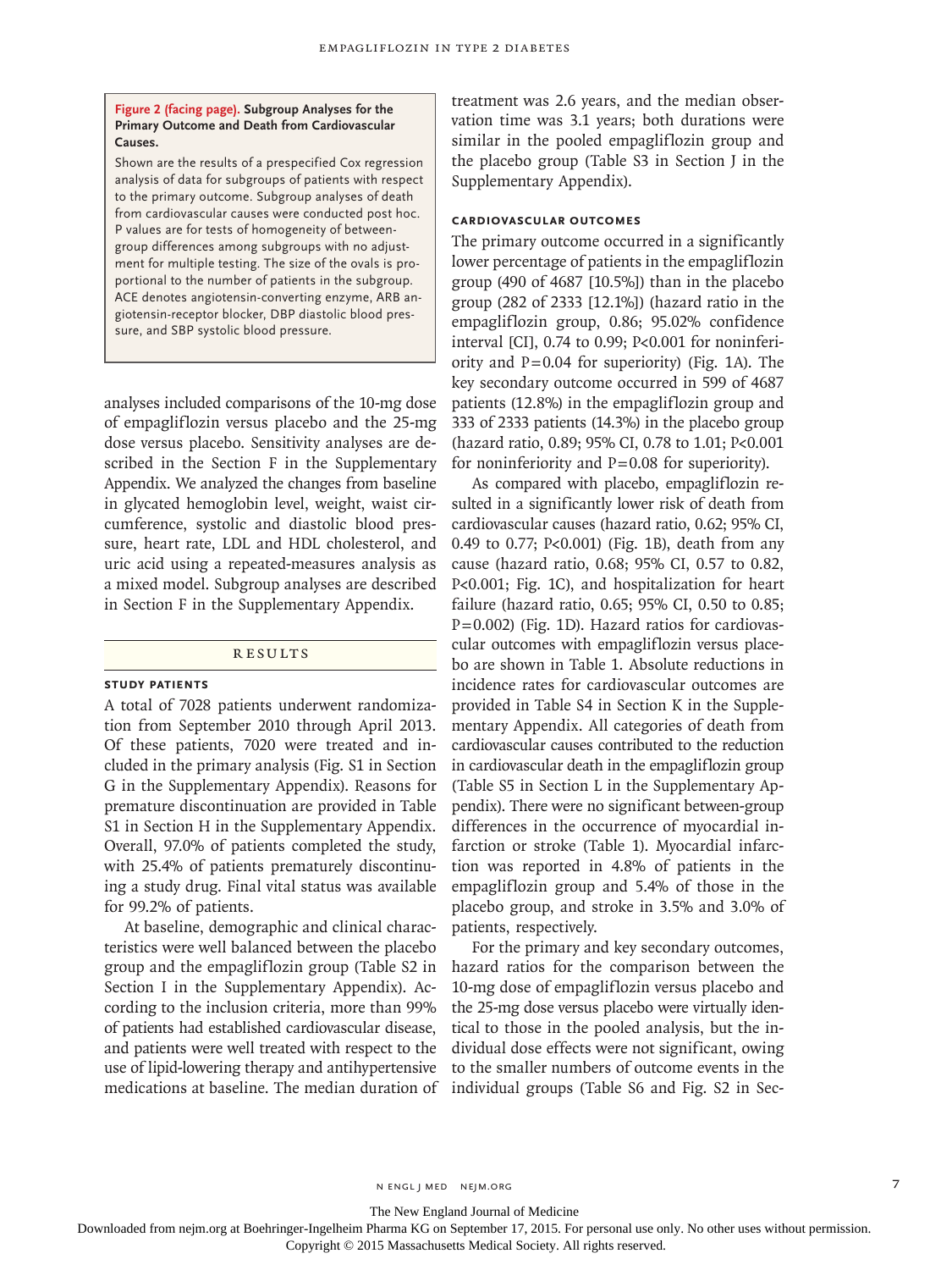## **Figure 2 (facing page). Subgroup Analyses for the Primary Outcome and Death from Cardiovascular Causes.**

Shown are the results of a prespecified Cox regression analysis of data for subgroups of patients with respect to the primary outcome. Subgroup analyses of death from cardiovascular causes were conducted post hoc. P values are for tests of homogeneity of betweengroup differences among subgroups with no adjustment for multiple testing. The size of the ovals is proportional to the number of patients in the subgroup. ACE denotes angiotensin-converting enzyme, ARB angiotensin-receptor blocker, DBP diastolic blood pressure, and SBP systolic blood pressure.

analyses included comparisons of the 10-mg dose of empagliflozin versus placebo and the 25-mg dose versus placebo. Sensitivity analyses are described in the Section F in the Supplementary Appendix. We analyzed the changes from baseline in glycated hemoglobin level, weight, waist circumference, systolic and diastolic blood pressure, heart rate, LDL and HDL cholesterol, and uric acid using a repeated-measures analysis as a mixed model. Subgroup analyses are described in Section F in the Supplementary Appendix.

### **RESULTS**

## **Study Patients**

A total of 7028 patients underwent randomization from September 2010 through April 2013. Of these patients, 7020 were treated and included in the primary analysis (Fig. S1 in Section G in the Supplementary Appendix). Reasons for premature discontinuation are provided in Table S1 in Section H in the Supplementary Appendix. Overall, 97.0% of patients completed the study, with 25.4% of patients prematurely discontinuing a study drug. Final vital status was available for 99.2% of patients.

At baseline, demographic and clinical characteristics were well balanced between the placebo group and the empagliflozin group (Table S2 in Section I in the Supplementary Appendix). According to the inclusion criteria, more than 99% of patients had established cardiovascular disease, and patients were well treated with respect to the use of lipid-lowering therapy and antihypertensive medications at baseline. The median duration of individual groups (Table S6 and Fig. S2 in Sec-

treatment was 2.6 years, and the median observation time was 3.1 years; both durations were similar in the pooled empagliflozin group and the placebo group (Table S3 in Section J in the Supplementary Appendix).

# **Cardiovascular Outcomes**

The primary outcome occurred in a significantly lower percentage of patients in the empagliflozin group (490 of 4687 [10.5%]) than in the placebo group (282 of 2333 [12.1%]) (hazard ratio in the empagliflozin group, 0.86; 95.02% confidence interval [CI], 0.74 to 0.99; P<0.001 for noninferiority and  $P=0.04$  for superiority) (Fig. 1A). The key secondary outcome occurred in 599 of 4687 patients (12.8%) in the empagliflozin group and 333 of 2333 patients (14.3%) in the placebo group (hazard ratio, 0.89; 95% CI, 0.78 to 1.01; P<0.001 for noninferiority and  $P=0.08$  for superiority).

As compared with placebo, empagliflozin resulted in a significantly lower risk of death from cardiovascular causes (hazard ratio, 0.62; 95% CI, 0.49 to 0.77; P<0.001) (Fig. 1B), death from any cause (hazard ratio, 0.68; 95% CI, 0.57 to 0.82, P<0.001; Fig. 1C), and hospitalization for heart failure (hazard ratio, 0.65; 95% CI, 0.50 to 0.85; P=0.002) (Fig. 1D). Hazard ratios for cardiovascular outcomes with empagliflozin versus placebo are shown in Table 1. Absolute reductions in incidence rates for cardiovascular outcomes are provided in Table S4 in Section K in the Supplementary Appendix. All categories of death from cardiovascular causes contributed to the reduction in cardiovascular death in the empagliflozin group (Table S5 in Section L in the Supplementary Appendix). There were no significant between-group differences in the occurrence of myocardial infarction or stroke (Table 1). Myocardial infarction was reported in 4.8% of patients in the empagliflozin group and 5.4% of those in the placebo group, and stroke in 3.5% and 3.0% of patients, respectively.

For the primary and key secondary outcomes, hazard ratios for the comparison between the 10-mg dose of empagliflozin versus placebo and the 25-mg dose versus placebo were virtually identical to those in the pooled analysis, but the individual dose effects were not significant, owing to the smaller numbers of outcome events in the

The New England Journal of Medicine

Downloaded from nejm.org at Boehringer-Ingelheim Pharma KG on September 17, 2015. For personal use only. No other uses without permission.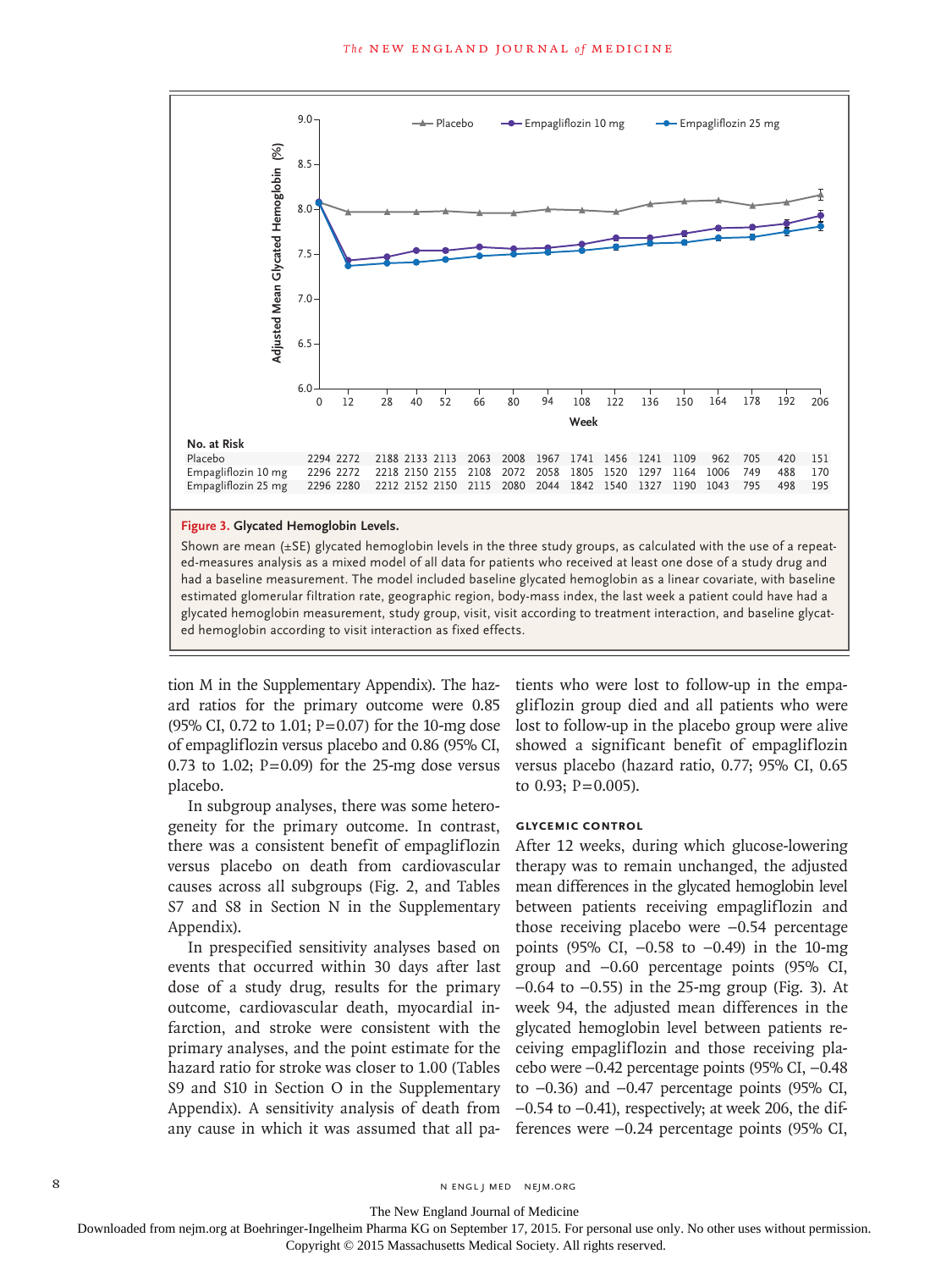

#### **Figure 3. Glycated Hemoglobin Levels.**

Shown are mean (±SE) glycated hemoglobin levels in the three study groups, as calculated with the use of a repeated-measures analysis as a mixed model of all data for patients who received at least one dose of a study drug and had a baseline measurement. The model included baseline glycated hemoglobin as a linear covariate, with baseline estimated glomerular filtration rate, geographic region, body-mass index, the last week a patient could have had a glycated hemoglobin measurement, study group, visit, visit according to treatment interaction, and baseline glycat-

tion M in the Supplementary Appendix). The hazard ratios for the primary outcome were 0.85 (95% CI, 0.72 to 1.01; P=0.07) for the 10-mg dose of empagliflozin versus placebo and 0.86 (95% CI, 0.73 to 1.02;  $P=0.09$  for the 25-mg dose versus placebo.

In subgroup analyses, there was some heterogeneity for the primary outcome. In contrast, there was a consistent benefit of empagliflozin versus placebo on death from cardiovascular causes across all subgroups (Fig. 2, and Tables S7 and S8 in Section N in the Supplementary Appendix).

In prespecified sensitivity analyses based on events that occurred within 30 days after last dose of a study drug, results for the primary outcome, cardiovascular death, myocardial infarction, and stroke were consistent with the primary analyses, and the point estimate for the hazard ratio for stroke was closer to 1.00 (Tables S9 and S10 in Section O in the Supplementary Appendix). A sensitivity analysis of death from any cause in which it was assumed that all patients who were lost to follow-up in the empagliflozin group died and all patients who were lost to follow-up in the placebo group were alive showed a significant benefit of empagliflozin versus placebo (hazard ratio, 0.77; 95% CI, 0.65 to  $0.93$ ;  $P = 0.005$ ).

#### **Glycemic Control**

After 12 weeks, during which glucose-lowering therapy was to remain unchanged, the adjusted mean differences in the glycated hemoglobin level between patients receiving empagliflozin and those receiving placebo were −0.54 percentage points (95% CI, −0.58 to −0.49) in the 10-mg group and −0.60 percentage points (95% CI, −0.64 to −0.55) in the 25-mg group (Fig. 3). At week 94, the adjusted mean differences in the glycated hemoglobin level between patients receiving empagliflozin and those receiving placebo were −0.42 percentage points (95% CI, −0.48 to −0.36) and −0.47 percentage points (95% CI, −0.54 to −0.41), respectively; at week 206, the differences were −0.24 percentage points (95% CI,

8 N ENGL J MED NEJM.ORG

The New England Journal of Medicine

Downloaded from nejm.org at Boehringer-Ingelheim Pharma KG on September 17, 2015. For personal use only. No other uses without permission.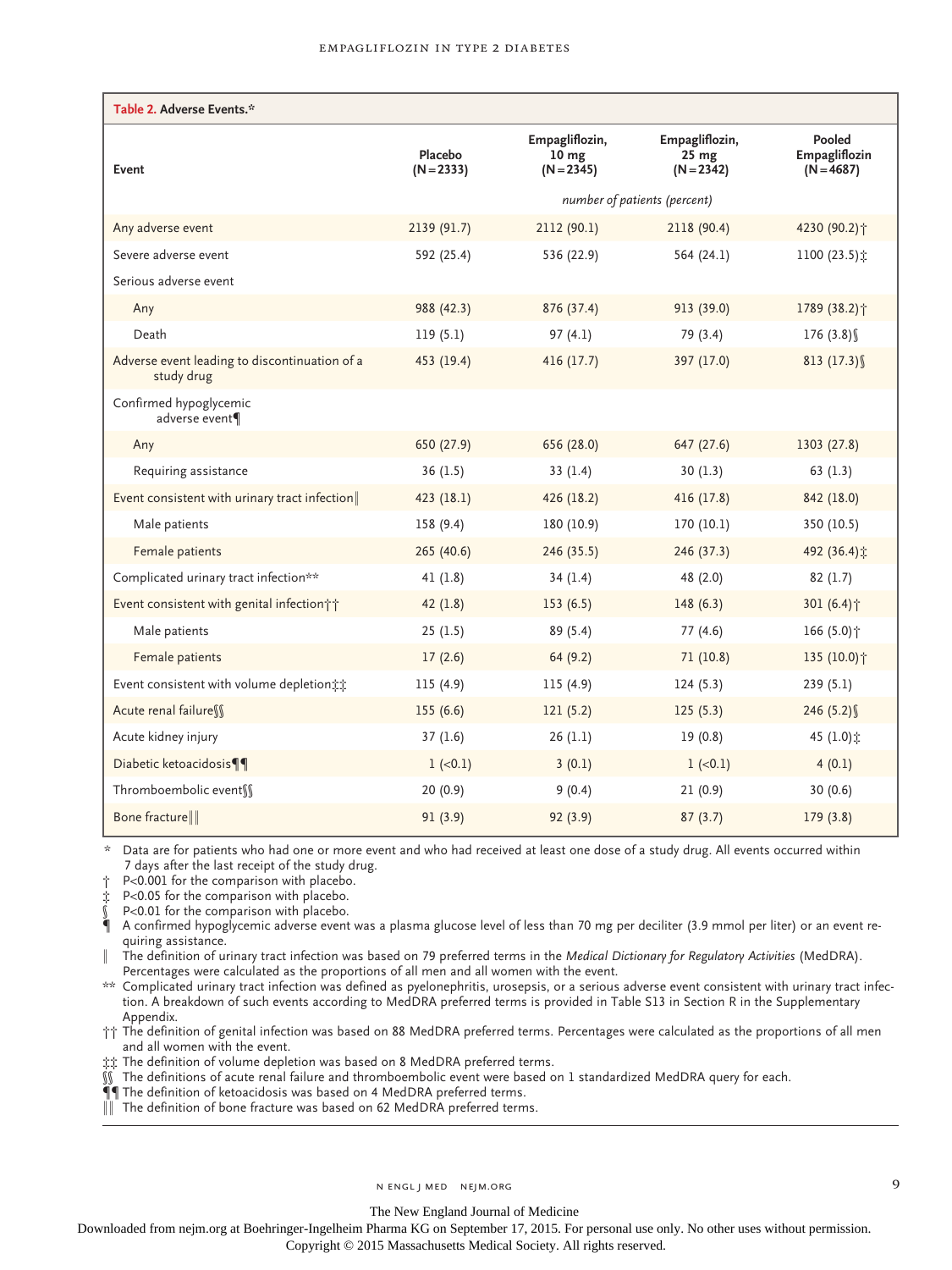| Table 2. Adverse Events.*                                   |                         |                                                    |                                                    |                                         |  |  |  |
|-------------------------------------------------------------|-------------------------|----------------------------------------------------|----------------------------------------------------|-----------------------------------------|--|--|--|
| Event                                                       | Placebo<br>$(N = 2333)$ | Empagliflozin,<br>10 <sub>mg</sub><br>$(N = 2345)$ | Empagliflozin,<br>25 <sub>mg</sub><br>$(N = 2342)$ | Pooled<br>Empagliflozin<br>$(N = 4687)$ |  |  |  |
|                                                             |                         | number of patients (percent)                       |                                                    |                                         |  |  |  |
| Any adverse event                                           | 2139 (91.7)             | 2112 (90.1)                                        | 2118 (90.4)                                        | 4230 (90.2) +                           |  |  |  |
| Severe adverse event                                        | 592 (25.4)              | 536 (22.9)                                         | 564 (24.1)                                         | 1100 (23.5) $\ddagger$                  |  |  |  |
| Serious adverse event                                       |                         |                                                    |                                                    |                                         |  |  |  |
| Any                                                         | 988 (42.3)              | 876 (37.4)                                         | 913 (39.0)                                         | 1789 (38.2) $\dagger$                   |  |  |  |
| Death                                                       | 119(5.1)                | 97(4.1)                                            | 79 (3.4)                                           | 176 $(3.8)$                             |  |  |  |
| Adverse event leading to discontinuation of a<br>study drug | 453 (19.4)              | 416(17.7)                                          | 397 (17.0)                                         | 813 $(17.3)$                            |  |  |  |
| Confirmed hypoglycemic<br>adverse event¶                    |                         |                                                    |                                                    |                                         |  |  |  |
| Any                                                         | 650 (27.9)              | 656 (28.0)                                         | 647 (27.6)                                         | 1303 (27.8)                             |  |  |  |
| Requiring assistance                                        | 36(1.5)                 | 33(1.4)                                            | 30(1.3)                                            | 63(1.3)                                 |  |  |  |
| Event consistent with urinary tract infection               | 423 (18.1)              | 426 (18.2)                                         | 416(17.8)                                          | 842 (18.0)                              |  |  |  |
| Male patients                                               | 158 (9.4)               | 180 (10.9)                                         | 170 (10.1)                                         | 350 (10.5)                              |  |  |  |
| Female patients                                             | 265 (40.6)              | 246 (35.5)                                         | 246 (37.3)                                         | 492 (36.4) $\ddagger$                   |  |  |  |
| Complicated urinary tract infection**                       | 41(1.8)                 | 34(1.4)                                            | 48 (2.0)                                           | 82(1.7)                                 |  |  |  |
| Event consistent with genital infection <sup>++</sup>       | 42(1.8)                 | 153(6.5)                                           | 148(6.3)                                           | 301 (6.4) 个                             |  |  |  |
| Male patients                                               | 25(1.5)                 | 89 (5.4)                                           | 77(4.6)                                            | 166 (5.0) +                             |  |  |  |
| Female patients                                             | 17(2.6)                 | 64 (9.2)                                           | 71(10.8)                                           | 135 (10.0) $\dagger$                    |  |  |  |
| Event consistent with volume depletion**                    | 115 (4.9)               | 115(4.9)                                           | 124(5.3)                                           | 239(5.1)                                |  |  |  |
| Acute renal failuress                                       | 155(6.6)                | 121(5.2)                                           | 125(5.3)                                           | 246(5.2)                                |  |  |  |
| Acute kidney injury                                         | 37(1.6)                 | 26(1.1)                                            | 19(0.8)                                            | 45 (1.0) $\ddagger$                     |  |  |  |
| Diabetic ketoacidosis¶¶                                     | $1 (-0.1)$              | 3(0.1)                                             | $1 (-0.1)$                                         | 4(0.1)                                  |  |  |  |
| Thromboembolic event \\                                     | 20(0.9)                 | 9(0.4)                                             | 21(0.9)                                            | 30(0.6)                                 |  |  |  |
| Bone fracture                                               | 91(3.9)                 | 92 (3.9)                                           | 87(3.7)                                            | 179(3.8)                                |  |  |  |

\* Data are for patients who had one or more event and who had received at least one dose of a study drug. All events occurred within 7 days after the last receipt of the study drug.

P<0.001 for the comparison with placebo.

P<0.05 for the comparison with placebo.

P<0.01 for the comparison with placebo.

¶ A confirmed hypoglycemic adverse event was a plasma glucose level of less than 70 mg per deciliter (3.9 mmol per liter) or an event requiring assistance.

‖ The definition of urinary tract infection was based on 79 preferred terms in the *Medical Dictionary for Regulatory Activities* (MedDRA). Percentages were calculated as the proportions of all men and all women with the event.

\*\* Complicated urinary tract infection was defined as pyelonephritis, urosepsis, or a serious adverse event consistent with urinary tract infection. A breakdown of such events according to MedDRA preferred terms is provided in Table S13 in Section R in the Supplementary Appendix.

†† The definition of genital infection was based on 88 MedDRA preferred terms. Percentages were calculated as the proportions of all men and all women with the event.

‡‡ The definition of volume depletion was based on 8 MedDRA preferred terms.

§§ The definitions of acute renal failure and thromboembolic event were based on 1 standardized MedDRA query for each.

¶¶ The definition of ketoacidosis was based on 4 MedDRA preferred terms.

 $\|$  The definition of bone fracture was based on 62 MedDRA preferred terms.

The New England Journal of Medicine

Downloaded from nejm.org at Boehringer-Ingelheim Pharma KG on September 17, 2015. For personal use only. No other uses without permission.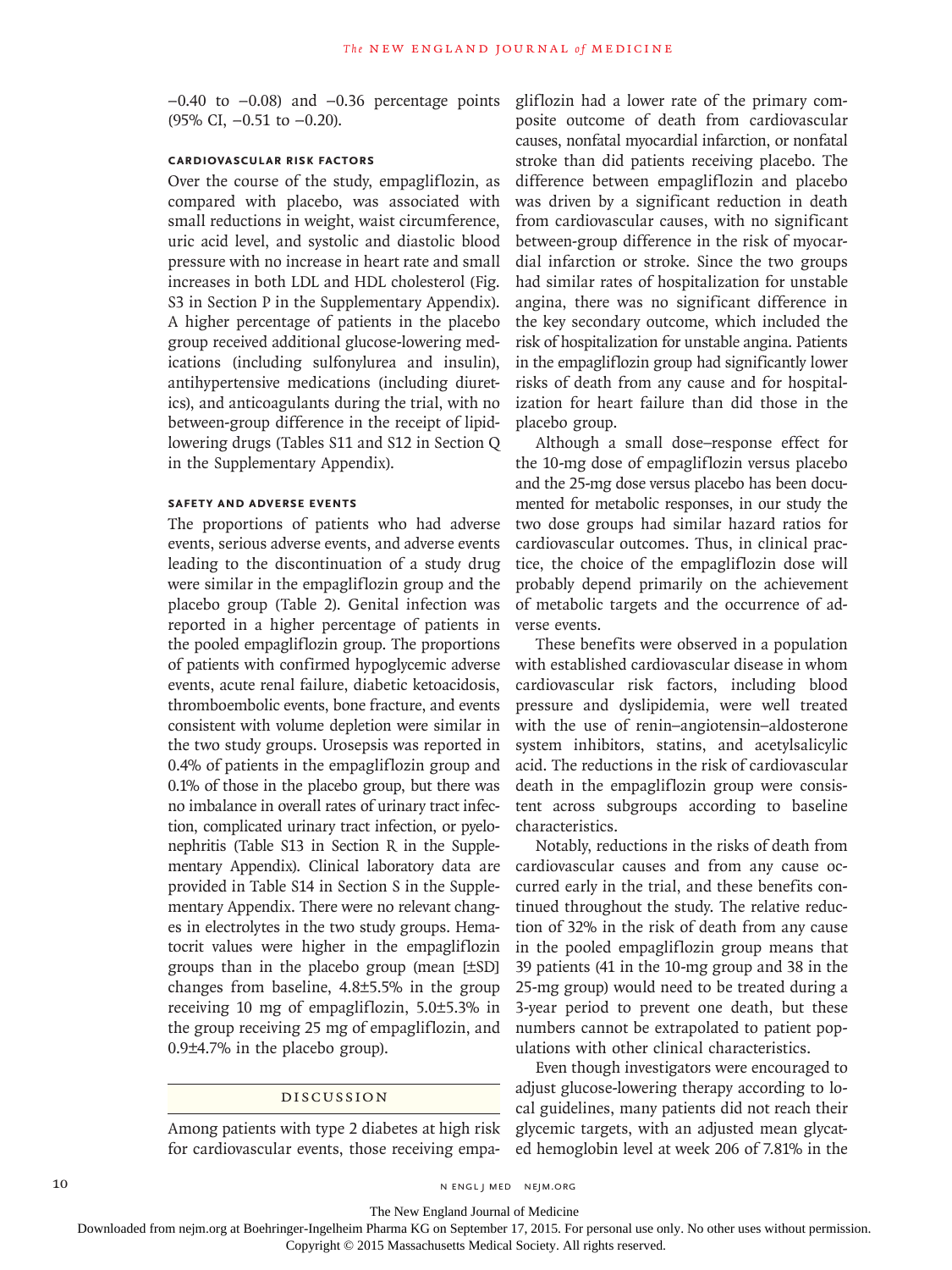$-0.40$  to  $-0.08$ ) and  $-0.36$  percentage points (95% CI, −0.51 to −0.20).

# **Cardiovascular Risk Factors**

Over the course of the study, empagliflozin, as compared with placebo, was associated with small reductions in weight, waist circumference, uric acid level, and systolic and diastolic blood pressure with no increase in heart rate and small increases in both LDL and HDL cholesterol (Fig. S3 in Section P in the Supplementary Appendix). A higher percentage of patients in the placebo group received additional glucose-lowering medications (including sulfonylurea and insulin), antihypertensive medications (including diuretics), and anticoagulants during the trial, with no between-group difference in the receipt of lipidlowering drugs (Tables S11 and S12 in Section Q in the Supplementary Appendix).

# **Safety and Adverse Events**

The proportions of patients who had adverse events, serious adverse events, and adverse events leading to the discontinuation of a study drug were similar in the empagliflozin group and the placebo group (Table 2). Genital infection was reported in a higher percentage of patients in the pooled empagliflozin group. The proportions of patients with confirmed hypoglycemic adverse events, acute renal failure, diabetic ketoacidosis, thromboembolic events, bone fracture, and events consistent with volume depletion were similar in the two study groups. Urosepsis was reported in 0.4% of patients in the empagliflozin group and 0.1% of those in the placebo group, but there was no imbalance in overall rates of urinary tract infection, complicated urinary tract infection, or pyelonephritis (Table S13 in Section R in the Supplementary Appendix). Clinical laboratory data are provided in Table S14 in Section S in the Supplementary Appendix. There were no relevant changes in electrolytes in the two study groups. Hematocrit values were higher in the empagliflozin groups than in the placebo group (mean [±SD] changes from baseline, 4.8±5.5% in the group receiving 10 mg of empagliflozin, 5.0±5.3% in the group receiving 25 mg of empagliflozin, and 0.9±4.7% in the placebo group).

# Discussion

Among patients with type 2 diabetes at high risk

gliflozin had a lower rate of the primary composite outcome of death from cardiovascular causes, nonfatal myocardial infarction, or nonfatal stroke than did patients receiving placebo. The difference between empagliflozin and placebo was driven by a significant reduction in death from cardiovascular causes, with no significant between-group difference in the risk of myocardial infarction or stroke. Since the two groups had similar rates of hospitalization for unstable angina, there was no significant difference in the key secondary outcome, which included the risk of hospitalization for unstable angina. Patients in the empagliflozin group had significantly lower risks of death from any cause and for hospitalization for heart failure than did those in the placebo group.

Although a small dose–response effect for the 10-mg dose of empagliflozin versus placebo and the 25-mg dose versus placebo has been documented for metabolic responses, in our study the two dose groups had similar hazard ratios for cardiovascular outcomes. Thus, in clinical practice, the choice of the empagliflozin dose will probably depend primarily on the achievement of metabolic targets and the occurrence of adverse events.

These benefits were observed in a population with established cardiovascular disease in whom cardiovascular risk factors, including blood pressure and dyslipidemia, were well treated with the use of renin–angiotensin–aldosterone system inhibitors, statins, and acetylsalicylic acid. The reductions in the risk of cardiovascular death in the empagliflozin group were consistent across subgroups according to baseline characteristics.

Notably, reductions in the risks of death from cardiovascular causes and from any cause occurred early in the trial, and these benefits continued throughout the study. The relative reduction of 32% in the risk of death from any cause in the pooled empagliflozin group means that 39 patients (41 in the 10-mg group and 38 in the 25-mg group) would need to be treated during a 3-year period to prevent one death, but these numbers cannot be extrapolated to patient populations with other clinical characteristics.

for cardiovascular events, those receiving empa-ed hemoglobin level at week 206 of 7.81% in the Even though investigators were encouraged to adjust glucose-lowering therapy according to local guidelines, many patients did not reach their glycemic targets, with an adjusted mean glycat-

10 N ENGL J MED NEJM.ORG

The New England Journal of Medicine

Downloaded from nejm.org at Boehringer-Ingelheim Pharma KG on September 17, 2015. For personal use only. No other uses without permission.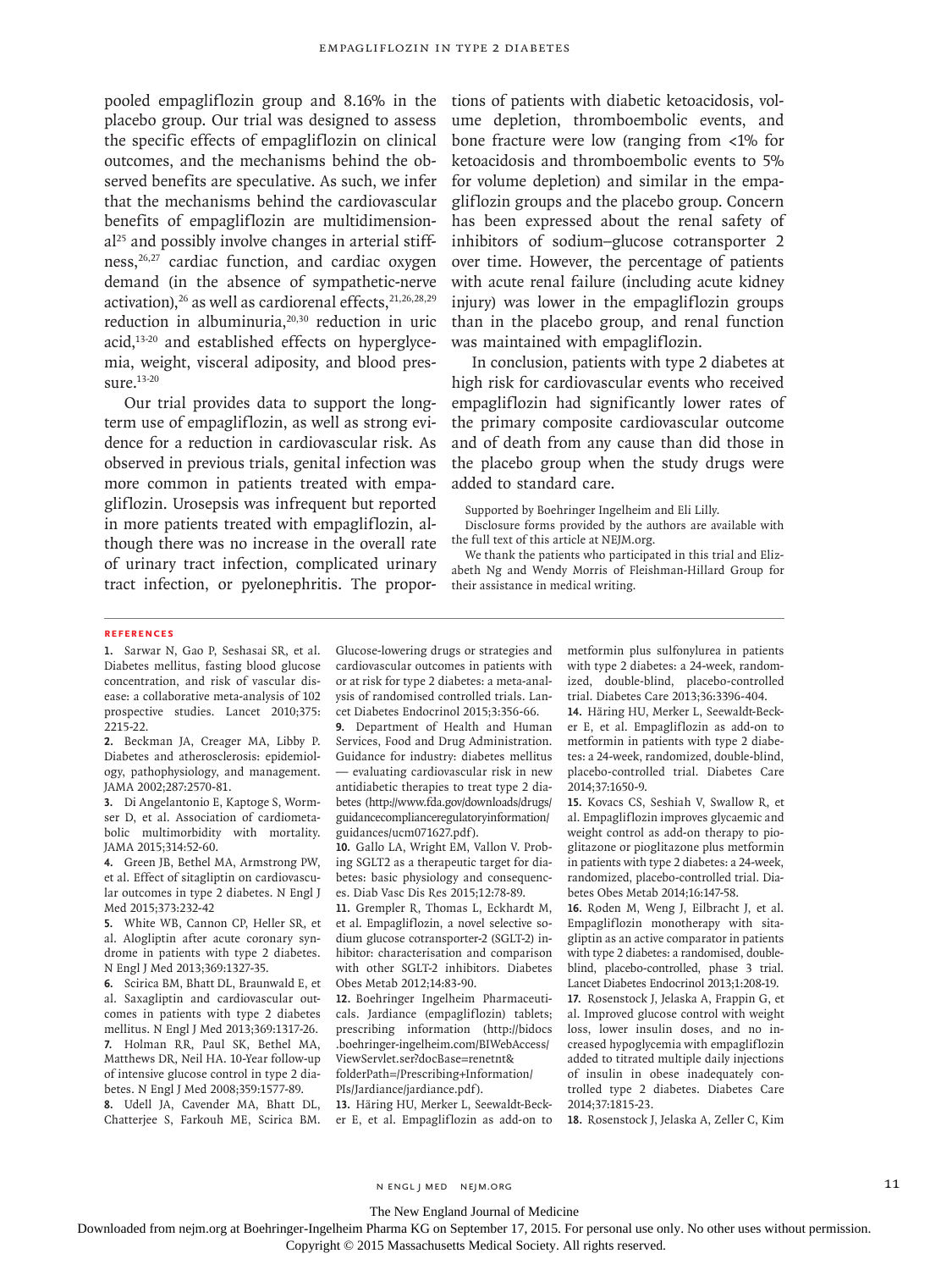placebo group. Our trial was designed to assess the specific effects of empagliflozin on clinical outcomes, and the mechanisms behind the observed benefits are speculative. As such, we infer that the mechanisms behind the cardiovascular benefits of empagliflozin are multidimension $al<sup>25</sup>$  and possibly involve changes in arterial stiffness,<sup>26,27</sup> cardiac function, and cardiac oxygen demand (in the absence of sympathetic-nerve activation), $^{26}$  as well as cardiorenal effects, $^{21,26,28,29}$ reduction in albuminuria, $20,30$  reduction in uric acid,13-20 and established effects on hyperglycemia, weight, visceral adiposity, and blood pressure.<sup>13-20</sup>

Our trial provides data to support the longterm use of empagliflozin, as well as strong evidence for a reduction in cardiovascular risk. As observed in previous trials, genital infection was more common in patients treated with empagliflozin. Urosepsis was infrequent but reported in more patients treated with empagliflozin, although there was no increase in the overall rate of urinary tract infection, complicated urinary tract infection, or pyelonephritis. The propor-

pooled empagliflozin group and 8.16% in the tions of patients with diabetic ketoacidosis, volume depletion, thromboembolic events, and bone fracture were low (ranging from <1% for ketoacidosis and thromboembolic events to 5% for volume depletion) and similar in the empagliflozin groups and the placebo group. Concern has been expressed about the renal safety of inhibitors of sodium–glucose cotransporter 2 over time. However, the percentage of patients with acute renal failure (including acute kidney injury) was lower in the empagliflozin groups than in the placebo group, and renal function was maintained with empagliflozin.

> In conclusion, patients with type 2 diabetes at high risk for cardiovascular events who received empagliflozin had significantly lower rates of the primary composite cardiovascular outcome and of death from any cause than did those in the placebo group when the study drugs were added to standard care.

Supported by Boehringer Ingelheim and Eli Lilly.

Disclosure forms provided by the authors are available with the full text of this article at NEJM.org.

We thank the patients who participated in this trial and Elizabeth Ng and Wendy Morris of Fleishman-Hillard Group for their assistance in medical writing.

#### **References**

**1.** Sarwar N, Gao P, Seshasai SR, et al. Diabetes mellitus, fasting blood glucose concentration, and risk of vascular disease: a collaborative meta-analysis of 102 prospective studies. Lancet 2010;375: 2215-22.

**2.** Beckman JA, Creager MA, Libby P. Diabetes and atherosclerosis: epidemiology, pathophysiology, and management. JAMA 2002;287:2570-81.

**3.** Di Angelantonio E, Kaptoge S, Wormser D, et al. Association of cardiometabolic multimorbidity with mortality. JAMA 2015;314:52-60.

**4.** Green JB, Bethel MA, Armstrong PW, et al. Effect of sitagliptin on cardiovascular outcomes in type 2 diabetes. N Engl J Med 2015;373:232-42

**5.** White WB, Cannon CP, Heller SR, et al. Alogliptin after acute coronary syndrome in patients with type 2 diabetes. N Engl J Med 2013;369:1327-35.

**6.** Scirica BM, Bhatt DL, Braunwald E, et al. Saxagliptin and cardiovascular outcomes in patients with type 2 diabetes mellitus. N Engl J Med 2013;369:1317-26. **7.** Holman RR, Paul SK, Bethel MA, Matthews DR, Neil HA. 10-Year follow-up of intensive glucose control in type 2 diabetes. N Engl J Med 2008;359:1577-89.

**8.** Udell JA, Cavender MA, Bhatt DL, Chatterjee S, Farkouh ME, Scirica BM.

Glucose-lowering drugs or strategies and cardiovascular outcomes in patients with or at risk for type 2 diabetes: a meta-analysis of randomised controlled trials. Lancet Diabetes Endocrinol 2015;3:356-66.

**9.** Department of Health and Human Services, Food and Drug Administration. Guidance for industry: diabetes mellitus — evaluating cardiovascular risk in new antidiabetic therapies to treat type 2 diabetes (http://www.fda.gov/downloads/drugs/ guidancecomplianceregulatoryinformation/ guidances/ucm071627.pdf).

**10.** Gallo LA, Wright EM, Vallon V. Probing SGLT2 as a therapeutic target for diabetes: basic physiology and consequences. Diab Vasc Dis Res 2015;12:78-89.

**11.** Grempler R, Thomas L, Eckhardt M, et al. Empagliflozin, a novel selective sodium glucose cotransporter-2 (SGLT-2) inhibitor: characterisation and comparison with other SGLT-2 inhibitors. Diabetes Obes Metab 2012;14:83-90.

**12.** Boehringer Ingelheim Pharmaceuticals. Jardiance (empagliflozin) tablets; prescribing information (http://bidocs .boehringer-ingelheim.com/BIWebAccess/ ViewServlet.ser?docBase=renetnt& folderPath=/Prescribing+Information/

PIs/Jardiance/jardiance.pdf). **13.** Häring HU, Merker L, Seewaldt-Becker E, et al. Empagliflozin as add-on to metformin plus sulfonylurea in patients with type 2 diabetes: a 24-week, randomized, double-blind, placebo-controlled trial. Diabetes Care 2013;36:3396-404.

**14.** Häring HU, Merker L, Seewaldt-Becker E, et al. Empagliflozin as add-on to metformin in patients with type 2 diabetes: a 24-week, randomized, double-blind, placebo-controlled trial. Diabetes Care 2014;37:1650-9.

**15.** Kovacs CS, Seshiah V, Swallow R, et al. Empagliflozin improves glycaemic and weight control as add-on therapy to pioglitazone or pioglitazone plus metformin in patients with type 2 diabetes: a 24-week, randomized, placebo-controlled trial. Diabetes Obes Metab 2014;16:147-58.

**16.** Roden M, Weng J, Eilbracht J, et al. Empagliflozin monotherapy with sitagliptin as an active comparator in patients with type 2 diabetes: a randomised, doubleblind, placebo-controlled, phase 3 trial. Lancet Diabetes Endocrinol 2013;1:208-19.

**17.** Rosenstock J, Jelaska A, Frappin G, et al. Improved glucose control with weight loss, lower insulin doses, and no increased hypoglycemia with empagliflozin added to titrated multiple daily injections of insulin in obese inadequately controlled type 2 diabetes. Diabetes Care 2014;37:1815-23.

**18.** Rosenstock J, Jelaska A, Zeller C, Kim

The New England Journal of Medicine

Downloaded from nejm.org at Boehringer-Ingelheim Pharma KG on September 17, 2015. For personal use only. No other uses without permission.